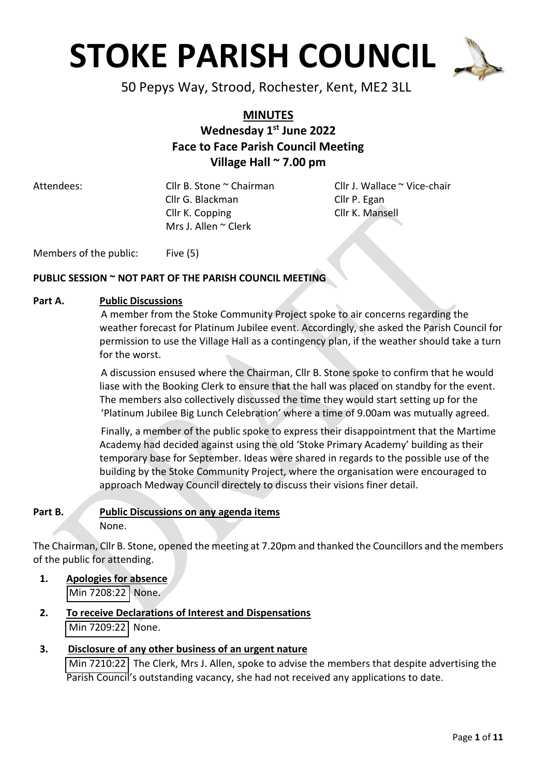

50 Pepys Way, Strood, Rochester, Kent, ME2 3LL

### **MINUTES Wednesday 1 st June 2022 Face to Face Parish Council Meeting Village Hall ~ 7.00 pm**

 Cllr G. Blackman Cllr P. Egan Cllr K. Copping Cllr K. Mansell Mrs J. Allen ~ Clerk

Attendees: Cllr B. Stone ~ Chairman Cllr J. Wallace ~ Vice-chair

Members of the public: Five (5)

#### **PUBLIC SESSION ~ NOT PART OF THE PARISH COUNCIL MEETING**

#### **Part A. Public Discussions**

A member from the Stoke Community Project spoke to air concerns regarding the weather forecast for Platinum Jubilee event. Accordingly, she asked the Parish Council for permission to use the Village Hall as a contingency plan, if the weather should take a turn for the worst.

A discussion ensused where the Chairman, Cllr B. Stone spoke to confirm that he would liase with the Booking Clerk to ensure that the hall was placed on standby for the event. The members also collectively discussed the time they would start setting up for the 'Platinum Jubilee Big Lunch Celebration' where a time of 9.00am was mutually agreed.

Finally, a member of the public spoke to express their disappointment that the Martime Academy had decided against using the old 'Stoke Primary Academy' building as their temporary base for September. Ideas were shared in regards to the possible use of the building by the Stoke Community Project, where the organisation were encouraged to approach Medway Council directely to discuss their visions finer detail.

#### **Part B. Public Discussions on any agenda items** None.

The Chairman, Cllr B. Stone, opened the meeting at 7.20pm and thanked the Councillors and the members of the public for attending.

- **1. Apologies for absence** Min 7208:22 None.
- **2. To receive Declarations of Interest and Dispensations** Min 7209:22 None.
- **3. Disclosure of any other business of an urgent nature** Min 7210:22 The Clerk, Mrs J. Allen, spoke to advise the members that despite advertising the Parish Council's outstanding vacancy, she had not received any applications to date.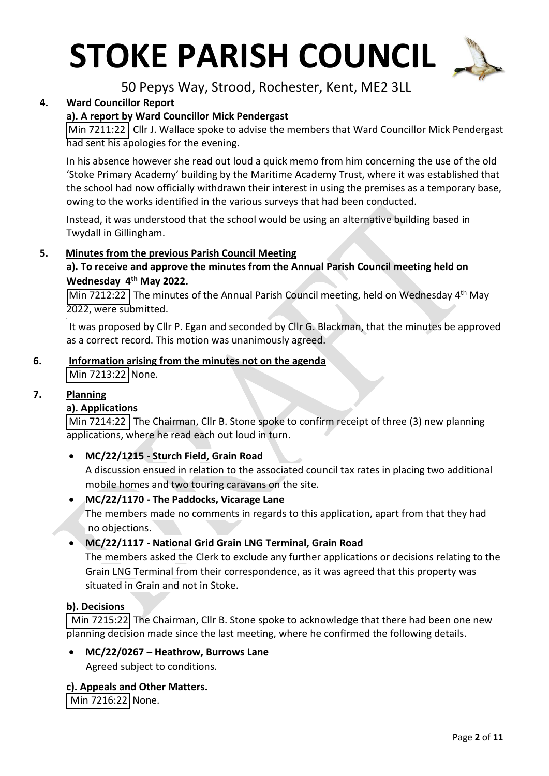

50 Pepys Way, Strood, Rochester, Kent, ME2 3LL

#### **4. Ward Councillor Report**

#### **a). A report by Ward Councillor Mick Pendergast**

Min 7211:22 Cllr J. Wallace spoke to advise the members that Ward Councillor Mick Pendergast had sent his apologies for the evening.

In his absence however she read out loud a quick memo from him concerning the use of the old 'Stoke Primary Academy' building by the Maritime Academy Trust, where it was established that the school had now officially withdrawn their interest in using the premises as a temporary base, owing to the works identified in the various surveys that had been conducted.

Instead, it was understood that the school would be using an alternative building based in Twydall in Gillingham.

#### **5. Minutes from the previous Parish Council Meeting**

#### **a). To receive and approve the minutes from the Annual Parish Council meeting held on Wednesday 4 th May 2022.**

Min 7212:22 The minutes of the Annual Parish Council meeting, held on Wednesday 4<sup>th</sup> May 2022, were submitted.

It was proposed by Cllr P. Egan and seconded by Cllr G. Blackman, that the minutes be approved as a correct record. This motion was unanimously agreed.

### **6. Information arising from the minutes not on the agenda**

Min 7213:22 None.

#### **7. Planning**

,

#### **a). Applications**

Min 7214:22 The Chairman, Cllr B. Stone spoke to confirm receipt of three (3) new planning applications, where he read each out loud in turn.

#### • **MC/22/1215 - Sturch Field, Grain Road**

A discussion ensued in relation to the associated council tax rates in placing two additional mobile homes and two touring caravans on the site.

• **MC/22/1170 - The Paddocks, Vicarage Lane** The members made no comments in regards to this application, apart from that they had no objections.

#### • **MC/22/1117 - National Grid Grain LNG Terminal, Grain Road**

The members asked the Clerk to exclude any further applications or decisions relating to the Grain LNG Terminal from their correspondence, as it was agreed that this property was situated in Grain and not in Stoke.

#### **b). Decisions**

Min 7215:22 The Chairman, Cllr B. Stone spoke to acknowledge that there had been one new planning decision made since the last meeting, where he confirmed the following details.

• **MC/22/0267 – Heathrow, Burrows Lane** Agreed subject to conditions.

#### **c). Appeals and Other Matters.**

Min 7216:22 None.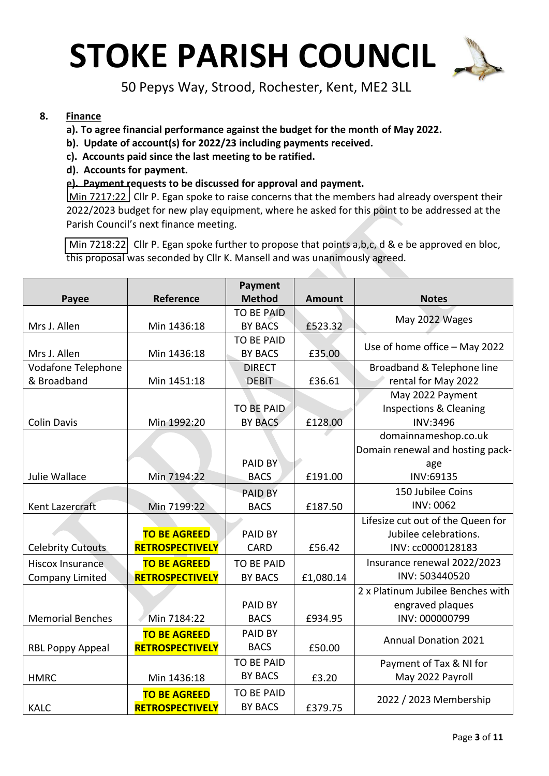

50 Pepys Way, Strood, Rochester, Kent, ME2 3LL

#### **8. Finance**

- **a). To agree financial performance against the budget for the month of May 2022.**
- **b). Update of account(s) for 2022/23 including payments received.**
- **c). Accounts paid since the last meeting to be ratified.**
- **d). Accounts for payment.**

#### **e). Payment requests to be discussed for approval and payment.**

Min 7217:22 Cllr P. Egan spoke to raise concerns that the members had already overspent their 2022/2023 budget for new play equipment, where he asked for this point to be addressed at the Parish Council's next finance meeting.

Min 7218:22 Cllr P. Egan spoke further to propose that points a,b,c, d & e be approved en bloc, this proposal was seconded by Cllr K. Mansell and was unanimously agreed.

|                          |                        | <b>Payment</b>    |               |                                   |
|--------------------------|------------------------|-------------------|---------------|-----------------------------------|
| Payee                    | Reference              | <b>Method</b>     | <b>Amount</b> | <b>Notes</b>                      |
|                          |                        | <b>TO BE PAID</b> |               | May 2022 Wages                    |
| Mrs J. Allen             | Min 1436:18            | <b>BY BACS</b>    | £523.32       |                                   |
|                          |                        | <b>TO BE PAID</b> |               | Use of home office - May 2022     |
| Mrs J. Allen             | Min 1436:18            | <b>BY BACS</b>    | £35.00        |                                   |
| Vodafone Telephone       |                        | <b>DIRECT</b>     |               | Broadband & Telephone line        |
| & Broadband              | Min 1451:18            | <b>DEBIT</b>      | £36.61        | rental for May 2022               |
|                          |                        |                   |               | May 2022 Payment                  |
|                          |                        | <b>TO BE PAID</b> |               | Inspections & Cleaning            |
| <b>Colin Davis</b>       | Min 1992:20            | <b>BY BACS</b>    | £128.00       | <b>INV:3496</b>                   |
|                          |                        |                   |               | domainnameshop.co.uk              |
|                          |                        |                   |               | Domain renewal and hosting pack-  |
|                          |                        | PAID BY           |               | age                               |
| Julie Wallace            | Min 7194:22            | <b>BACS</b>       | £191.00       | INV:69135                         |
|                          |                        | <b>PAID BY</b>    |               | 150 Jubilee Coins                 |
| Kent Lazercraft          | Min 7199:22            | <b>BACS</b>       | £187.50       | <b>INV: 0062</b>                  |
|                          |                        |                   |               | Lifesize cut out of the Queen for |
|                          | <b>TO BE AGREED</b>    | PAID BY           |               | Jubilee celebrations.             |
| <b>Celebrity Cutouts</b> | <b>RETROSPECTIVELY</b> | <b>CARD</b>       | £56.42        | INV: cc0000128183                 |
| <b>Hiscox Insurance</b>  | <b>TO BE AGREED</b>    | <b>TO BE PAID</b> |               | Insurance renewal 2022/2023       |
| <b>Company Limited</b>   | RETROSPECTIVELY        | <b>BY BACS</b>    | £1,080.14     | INV: 503440520                    |
|                          |                        |                   |               | 2 x Platinum Jubilee Benches with |
|                          |                        | PAID BY           |               | engraved plaques                  |
| <b>Memorial Benches</b>  | Min 7184:22            | <b>BACS</b>       | £934.95       | INV: 000000799                    |
|                          | <b>TO BE AGREED</b>    | PAID BY           |               |                                   |
| <b>RBL Poppy Appeal</b>  | <b>RETROSPECTIVELY</b> | <b>BACS</b>       | £50.00        | <b>Annual Donation 2021</b>       |
|                          |                        | <b>TO BE PAID</b> |               | Payment of Tax & NI for           |
| <b>HMRC</b>              | Min 1436:18            | <b>BY BACS</b>    | £3.20         | May 2022 Payroll                  |
|                          | <b>TO BE AGREED</b>    | <b>TO BE PAID</b> |               |                                   |
| <b>KALC</b>              | <b>RETROSPECTIVELY</b> | <b>BY BACS</b>    | £379.75       | 2022 / 2023 Membership            |
|                          |                        |                   |               |                                   |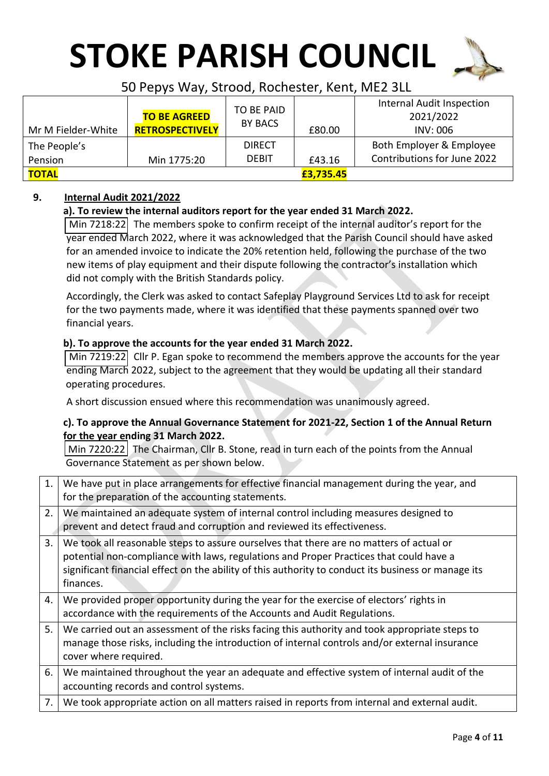

### 50 Pepys Way, Strood, Rochester, Kent, ME2 3LL

|                    | <b>TO BE AGREED</b>    | TO BE PAID     |           | Internal Audit Inspection<br>2021/2022 |
|--------------------|------------------------|----------------|-----------|----------------------------------------|
| Mr M Fielder-White | <b>RETROSPECTIVELY</b> | <b>BY BACS</b> | £80.00    | <b>INV: 006</b>                        |
| The People's       |                        | <b>DIRECT</b>  |           | Both Employer & Employee               |
| Pension            | Min 1775:20            | <b>DEBIT</b>   | £43.16    | Contributions for June 2022            |
| <b>TOTAL</b>       |                        |                | £3,735.45 |                                        |

#### **9. Internal Audit 2021/2022**

#### **a). To review the internal auditors report for the year ended 31 March 2022.**

Min 7218:22 The members spoke to confirm receipt of the internal auditor's report for the year ended March 2022, where it was acknowledged that the Parish Council should have asked for an amended invoice to indicate the 20% retention held, following the purchase of the two new items of play equipment and their dispute following the contractor's installation which did not comply with the British Standards policy.

Accordingly, the Clerk was asked to contact Safeplay Playground Services Ltd to ask for receipt for the two payments made, where it was identified that these payments spanned over two financial years.

#### **b). To approve the accounts for the year ended 31 March 2022.**

Min 7219:22 Cllr P. Egan spoke to recommend the members approve the accounts for the year ending March 2022, subject to the agreement that they would be updating all their standard operating procedures.

A short discussion ensued where this recommendation was unanimously agreed.

#### **c). To approve the Annual Governance Statement for 2021-22, Section 1 of the Annual Return for the year ending 31 March 2022.**

Min 7220:22 The Chairman, Cllr B. Stone, read in turn each of the points from the Annual Governance Statement as per shown below.

| 1. | We have put in place arrangements for effective financial management during the year, and           |
|----|-----------------------------------------------------------------------------------------------------|
|    | for the preparation of the accounting statements.                                                   |
| 2. | We maintained an adequate system of internal control including measures designed to                 |
|    | prevent and detect fraud and corruption and reviewed its effectiveness.                             |
| 3. | We took all reasonable steps to assure ourselves that there are no matters of actual or             |
|    | potential non-compliance with laws, regulations and Proper Practices that could have a              |
|    | significant financial effect on the ability of this authority to conduct its business or manage its |
|    | finances.                                                                                           |
| 4. | We provided proper opportunity during the year for the exercise of electors' rights in              |
|    | accordance with the requirements of the Accounts and Audit Regulations.                             |
| 5. | We carried out an assessment of the risks facing this authority and took appropriate steps to       |
|    | manage those risks, including the introduction of internal controls and/or external insurance       |
|    | cover where required.                                                                               |
| 6. | We maintained throughout the year an adequate and effective system of internal audit of the         |
|    | accounting records and control systems.                                                             |
| 7. | We took appropriate action on all matters raised in reports from internal and external audit.       |
|    |                                                                                                     |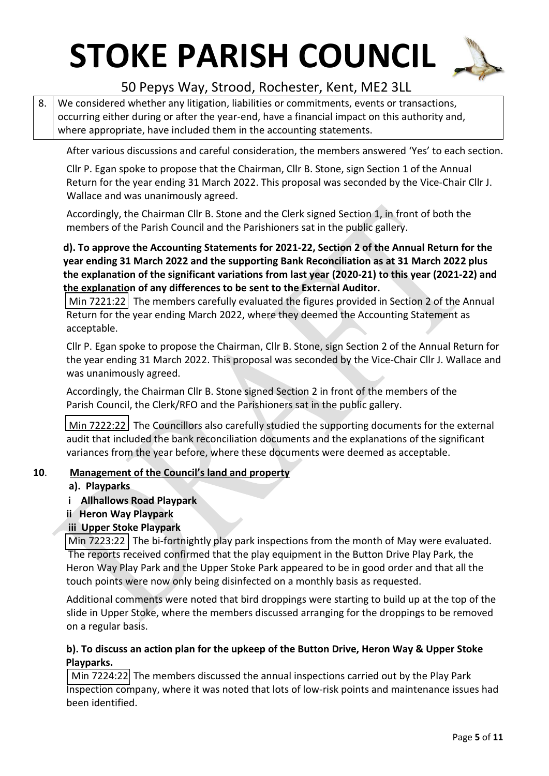

### 50 Pepys Way, Strood, Rochester, Kent, ME2 3LL

8. We considered whether any litigation, liabilities or commitments, events or transactions, occurring either during or after the year-end, have a financial impact on this authority and, where appropriate, have included them in the accounting statements.

After various discussions and careful consideration, the members answered 'Yes' to each section.

Cllr P. Egan spoke to propose that the Chairman, Cllr B. Stone, sign Section 1 of the Annual Return for the year ending 31 March 2022. This proposal was seconded by the Vice-Chair Cllr J. Wallace and was unanimously agreed.

Accordingly, the Chairman Cllr B. Stone and the Clerk signed Section 1, in front of both the members of the Parish Council and the Parishioners sat in the public gallery.

#### **d). To approve the Accounting Statements for 2021-22, Section 2 of the Annual Return for the year ending 31 March 2022 and the supporting Bank Reconciliation as at 31 March 2022 plus the explanation of the significant variations from last year (2020-21) to this year (2021-22) and the explanation of any differences to be sent to the External Auditor.**

Min 7221:22 The members carefully evaluated the figures provided in Section 2 of the Annual Return for the year ending March 2022, where they deemed the Accounting Statement as acceptable.

Cllr P. Egan spoke to propose the Chairman, Cllr B. Stone, sign Section 2 of the Annual Return for the year ending 31 March 2022. This proposal was seconded by the Vice-Chair Cllr J. Wallace and was unanimously agreed.

Accordingly, the Chairman Cllr B. Stone signed Section 2 in front of the members of the Parish Council, the Clerk/RFO and the Parishioners sat in the public gallery.

Min 7222:22 The Councillors also carefully studied the supporting documents for the external audit that included the bank reconciliation documents and the explanations of the significant variances from the year before, where these documents were deemed as acceptable.

#### **10**. **Management of the Council's land and property**

#### **a). Playparks**

- **i Allhallows Road Playpark**
- **ii Heron Way Playpark**

#### **iii Upper Stoke Playpark**

Min 7223:22 The bi-fortnightly play park inspections from the month of May were evaluated. The reports received confirmed that the play equipment in the Button Drive Play Park, the Heron Way Play Park and the Upper Stoke Park appeared to be in good order and that all the touch points were now only being disinfected on a monthly basis as requested.

Additional comments were noted that bird droppings were starting to build up at the top of the slide in Upper Stoke, where the members discussed arranging for the droppings to be removed on a regular basis.

#### **b). To discuss an action plan for the upkeep of the Button Drive, Heron Way & Upper Stoke Playparks.**

 Min 7224:22 The members discussed the annual inspections carried out by the Play Park Inspection company, where it was noted that lots of low-risk points and maintenance issues had been identified.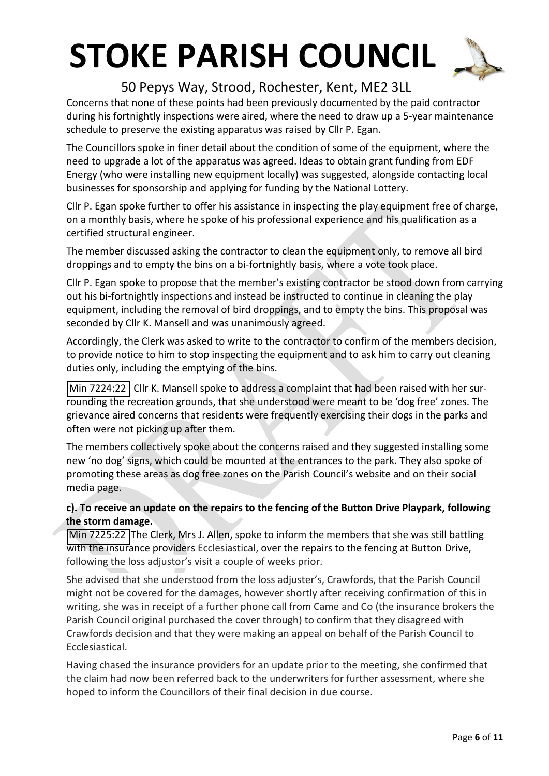

### 50 Pepys Way, Strood, Rochester, Kent, ME2 3LL

Concerns that none of these points had been previously documented by the paid contractor during his fortnightly inspections were aired, where the need to draw up a 5-year maintenance schedule to preserve the existing apparatus was raised by Cllr P. Egan.

The Councillors spoke in finer detail about the condition of some of the equipment, where the need to upgrade a lot of the apparatus was agreed. Ideas to obtain grant funding from EDF Energy (who were installing new equipment locally) was suggested, alongside contacting local businesses for sponsorship and applying for funding by the National Lottery.

Cllr P. Egan spoke further to offer his assistance in inspecting the play equipment free of charge, on a monthly basis, where he spoke of his professional experience and his qualification as a certified structural engineer.

The member discussed asking the contractor to clean the equipment only, to remove all bird droppings and to empty the bins on a bi-fortnightly basis, where a vote took place.

Cllr P. Egan spoke to propose that the member's existing contractor be stood down from carrying out his bi-fortnightly inspections and instead be instructed to continue in cleaning the play equipment, including the removal of bird droppings, and to empty the bins. This proposal was seconded by Cllr K. Mansell and was unanimously agreed.

Accordingly, the Clerk was asked to write to the contractor to confirm of the members decision, to provide notice to him to stop inspecting the equipment and to ask him to carry out cleaning duties only, including the emptying of the bins.

Min 7224:22 Cllr K. Mansell spoke to address a complaint that had been raised with her surrounding the recreation grounds, that she understood were meant to be 'dog free' zones. The grievance aired concerns that residents were frequently exercising their dogs in the parks and often were not picking up after them.

The members collectively spoke about the concerns raised and they suggested installing some new 'no dog' signs, which could be mounted at the entrances to the park. They also spoke of promoting these areas as dog free zones on the Parish Council's website and on their social media page.

#### **c). To receive an update on the repairs to the fencing of the Button Drive Playpark, following the storm damage.**

Min 7225:22 The Clerk, Mrs J. Allen, spoke to inform the members that she was still battling with the insurance providers Ecclesiastical, over the repairs to the fencing at Button Drive, following the loss adjustor's visit a couple of weeks prior.

She advised that she understood from the loss adjuster's, Crawfords, that the Parish Council might not be covered for the damages, however shortly after receiving confirmation of this in writing, she was in receipt of a further phone call from Came and Co (the insurance brokers the Parish Council original purchased the cover through) to confirm that they disagreed with Crawfords decision and that they were making an appeal on behalf of the Parish Council to Ecclesiastical.

Having chased the insurance providers for an update prior to the meeting, she confirmed that the claim had now been referred back to the underwriters for further assessment, where she hoped to inform the Councillors of their final decision in due course.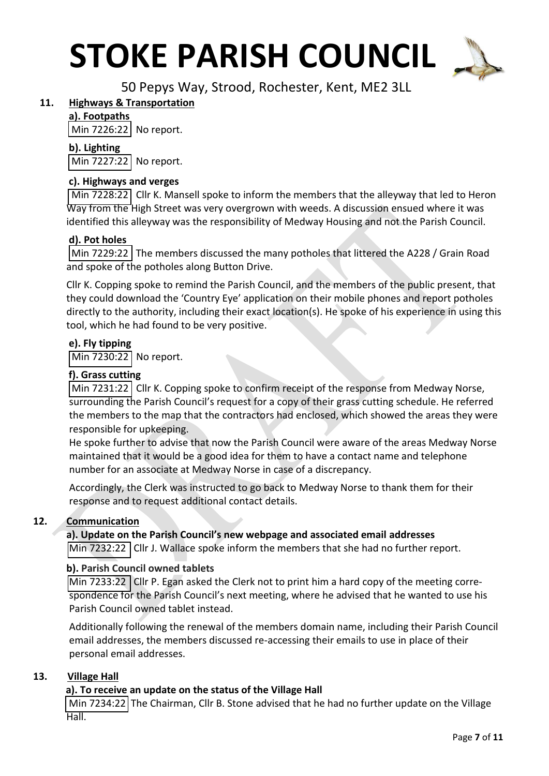

50 Pepys Way, Strood, Rochester, Kent, ME2 3LL

#### **11. Highways & Transportation**

#### **a). Footpaths**

Min 7226:22 No report.

#### **b). Lighting**

Min 7227:22 No report.

#### **c). Highways and verges**

Min 7228:22 Cllr K. Mansell spoke to inform the members that the alleyway that led to Heron Way from the High Street was very overgrown with weeds. A discussion ensued where it was identified this alleyway was the responsibility of Medway Housing and not the Parish Council.

#### **d). Pot holes**

Min 7229:22 The members discussed the many potholes that littered the A228 / Grain Road and spoke of the potholes along Button Drive.

Cllr K. Copping spoke to remind the Parish Council, and the members of the public present, that they could download the 'Country Eye' application on their mobile phones and report potholes directly to the authority, including their exact location(s). He spoke of his experience in using this tool, which he had found to be very positive.

#### **e). Fly tipping**

Min 7230:22 No report.

#### **f). Grass cutting**

Min 7231:22 Cllr K. Copping spoke to confirm receipt of the response from Medway Norse, surrounding the Parish Council's request for a copy of their grass cutting schedule. He referred the members to the map that the contractors had enclosed, which showed the areas they were responsible for upkeeping.

He spoke further to advise that now the Parish Council were aware of the areas Medway Norse maintained that it would be a good idea for them to have a contact name and telephone number for an associate at Medway Norse in case of a discrepancy.

Accordingly, the Clerk was instructed to go back to Medway Norse to thank them for their response and to request additional contact details.

#### **12. Communication**

#### **a). Update on the Parish Council's new webpage and associated email addresses**

Min 7232:22 | Cllr J. Wallace spoke inform the members that she had no further report.

#### **b). Parish Council owned tablets**

Min 7233:22 Cllr P. Egan asked the Clerk not to print him a hard copy of the meeting correspondence for the Parish Council's next meeting, where he advised that he wanted to use his Parish Council owned tablet instead.

Additionally following the renewal of the members domain name, including their Parish Council email addresses, the members discussed re-accessing their emails to use in place of their personal email addresses.

#### **13. Village Hall**

#### **a). To receive an update on the status of the Village Hall**

Min 7234:22 The Chairman, Cllr B. Stone advised that he had no further update on the Village  $Hall.$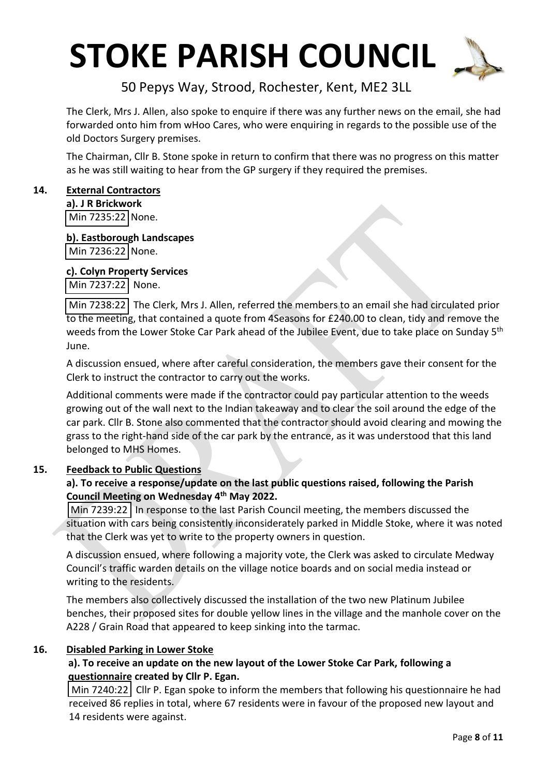

50 Pepys Way, Strood, Rochester, Kent, ME2 3LL

The Clerk, Mrs J. Allen, also spoke to enquire if there was any further news on the email, she had forwarded onto him from wHoo Cares, who were enquiring in regards to the possible use of the old Doctors Surgery premises.

The Chairman, Cllr B. Stone spoke in return to confirm that there was no progress on this matter as he was still waiting to hear from the GP surgery if they required the premises.

#### **14. External Contractors**

**a). J R Brickwork** Min 7235:22 None.

**b). Eastborough Landscapes** Min 7236:22 None.

#### **c). Colyn Property Services**

Min 7237:22 None.

Min 7238:22 The Clerk, Mrs J. Allen, referred the members to an email she had circulated prior to the meeting, that contained a quote from 4Seasons for £240.00 to clean, tidy and remove the weeds from the Lower Stoke Car Park ahead of the Jubilee Event, due to take place on Sunday 5<sup>th</sup> June.

A discussion ensued, where after careful consideration, the members gave their consent for the Clerk to instruct the contractor to carry out the works.

Additional comments were made if the contractor could pay particular attention to the weeds growing out of the wall next to the Indian takeaway and to clear the soil around the edge of the car park. Cllr B. Stone also commented that the contractor should avoid clearing and mowing the grass to the right-hand side of the car park by the entrance, as it was understood that this land belonged to MHS Homes.

#### **15. Feedback to Public Questions**

#### **a). To receive a response/update on the last public questions raised, following the Parish Council Meeting on Wednesday 4 th May 2022.**

Min 7239:22 In response to the last Parish Council meeting, the members discussed the situation with cars being consistently inconsiderately parked in Middle Stoke, where it was noted that the Clerk was yet to write to the property owners in question.

A discussion ensued, where following a majority vote, the Clerk was asked to circulate Medway Council's traffic warden details on the village notice boards and on social media instead or writing to the residents.

The members also collectively discussed the installation of the two new Platinum Jubilee benches, their proposed sites for double yellow lines in the village and the manhole cover on the A228 / Grain Road that appeared to keep sinking into the tarmac.

#### **16. Disabled Parking in Lower Stoke**

#### **a). To receive an update on the new layout of the Lower Stoke Car Park, following a questionnaire created by Cllr P. Egan.**

 $\vert$  Min 7240:22 Cllr P. Egan spoke to inform the members that following his questionnaire he had received 86 replies in total, where 67 residents were in favour of the proposed new layout and 14 residents were against.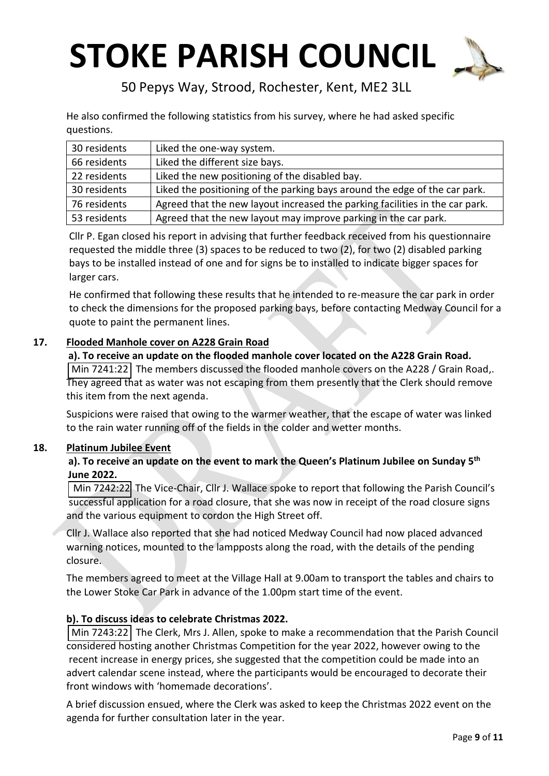

50 Pepys Way, Strood, Rochester, Kent, ME2 3LL

He also confirmed the following statistics from his survey, where he had asked specific questions.

| 30 residents | Liked the one-way system.                                                    |
|--------------|------------------------------------------------------------------------------|
| 66 residents | Liked the different size bays.                                               |
| 22 residents | Liked the new positioning of the disabled bay.                               |
| 30 residents | Liked the positioning of the parking bays around the edge of the car park.   |
| 76 residents | Agreed that the new layout increased the parking facilities in the car park. |
| 53 residents | Agreed that the new layout may improve parking in the car park.              |

Cllr P. Egan closed his report in advising that further feedback received from his questionnaire requested the middle three (3) spaces to be reduced to two (2), for two (2) disabled parking bays to be installed instead of one and for signs be to installed to indicate bigger spaces for larger cars.

He confirmed that following these results that he intended to re-measure the car park in order to check the dimensions for the proposed parking bays, before contacting Medway Council for a quote to paint the permanent lines.

#### **17. Flooded Manhole cover on A228 Grain Road**

 **a). To receive an update on the flooded manhole cover located on the A228 Grain Road.** Min 7241:22 The members discussed the flooded manhole covers on the A228 / Grain Road,. They agreed that as water was not escaping from them presently that the Clerk should remove this item from the next agenda.

Suspicions were raised that owing to the warmer weather, that the escape of water was linked to the rain water running off of the fields in the colder and wetter months.

#### **18. Platinum Jubilee Event**

#### **a). To receive an update on the event to mark the Queen's Platinum Jubilee on Sunday 5th June 2022.**

 Min 7242:22 The Vice-Chair, Cllr J. Wallace spoke to report that following the Parish Council's successful application for a road closure, that she was now in receipt of the road closure signs and the various equipment to cordon the High Street off.

Cllr J. Wallace also reported that she had noticed Medway Council had now placed advanced warning notices, mounted to the lampposts along the road, with the details of the pending closure.

The members agreed to meet at the Village Hall at 9.00am to transport the tables and chairs to the Lower Stoke Car Park in advance of the 1.00pm start time of the event.

#### **b). To discuss ideas to celebrate Christmas 2022.**

 Min 7243:22 The Clerk, Mrs J. Allen, spoke to make a recommendation that the Parish Council considered hosting another Christmas Competition for the year 2022, however owing to the recent increase in energy prices, she suggested that the competition could be made into an advert calendar scene instead, where the participants would be encouraged to decorate their front windows with 'homemade decorations'.

A brief discussion ensued, where the Clerk was asked to keep the Christmas 2022 event on the agenda for further consultation later in the year.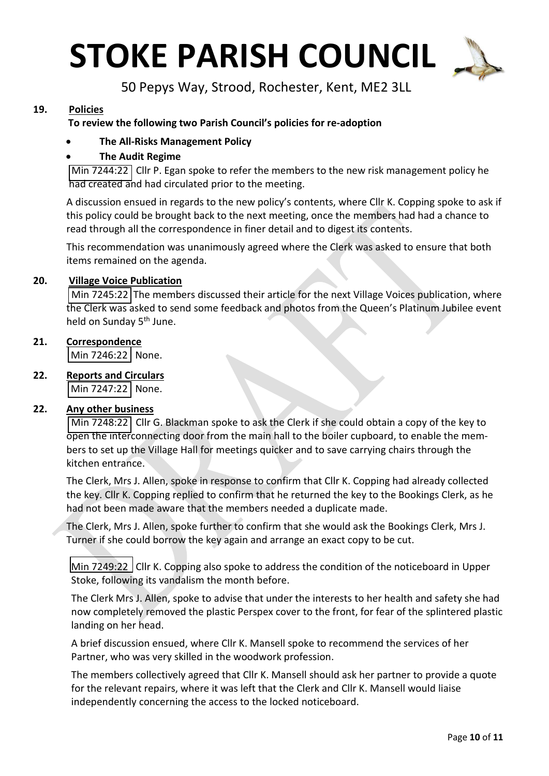

50 Pepys Way, Strood, Rochester, Kent, ME2 3LL

#### **19. Policies**

#### **To review the following two Parish Council's policies for re-adoption**

#### • **The All-Risks Management Policy**

#### • **The Audit Regime**

Min 7244:22 Cllr P. Egan spoke to refer the members to the new risk management policy he had created and had circulated prior to the meeting.

A discussion ensued in regards to the new policy's contents, where Cllr K. Copping spoke to ask if this policy could be brought back to the next meeting, once the members had had a chance to read through all the correspondence in finer detail and to digest its contents.

This recommendation was unanimously agreed where the Clerk was asked to ensure that both items remained on the agenda.

#### **20. Village Voice Publication**

Min 7245:22 The members discussed their article for the next Village Voices publication, where the Clerk was asked to send some feedback and photos from the Queen's Platinum Jubilee event held on Sunday 5<sup>th</sup> June.

#### **21. Correspondence**

Min 7246:22 None.

**22. Reports and Circulars**

Min 7247:22 None.

#### **22. Any other business**

Min 7248:22 Cllr G. Blackman spoke to ask the Clerk if she could obtain a copy of the key to open the interconnecting door from the main hall to the boiler cupboard, to enable the members to set up the Village Hall for meetings quicker and to save carrying chairs through the kitchen entrance.

The Clerk, Mrs J. Allen, spoke in response to confirm that Cllr K. Copping had already collected the key. Cllr K. Copping replied to confirm that he returned the key to the Bookings Clerk, as he had not been made aware that the members needed a duplicate made.

The Clerk, Mrs J. Allen, spoke further to confirm that she would ask the Bookings Clerk, Mrs J. Turner if she could borrow the key again and arrange an exact copy to be cut.

Min 7249:22 Cllr K. Copping also spoke to address the condition of the noticeboard in Upper Stoke, following its vandalism the month before.

The Clerk Mrs J. Allen, spoke to advise that under the interests to her health and safety she had now completely removed the plastic Perspex cover to the front, for fear of the splintered plastic landing on her head.

A brief discussion ensued, where Cllr K. Mansell spoke to recommend the services of her Partner, who was very skilled in the woodwork profession.

The members collectively agreed that Cllr K. Mansell should ask her partner to provide a quote for the relevant repairs, where it was left that the Clerk and Cllr K. Mansell would liaise independently concerning the access to the locked noticeboard.